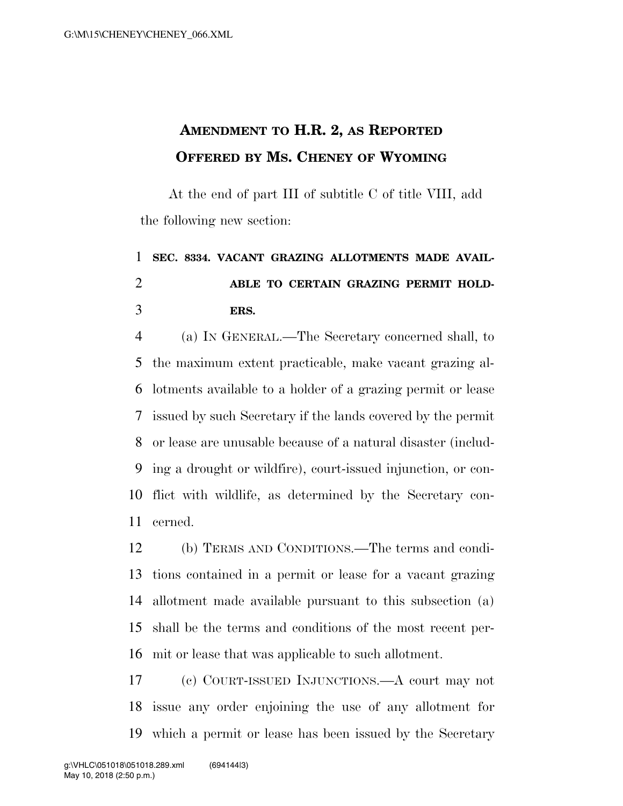## **AMENDMENT TO H.R. 2, AS REPORTED OFFERED BY MS. CHENEY OF WYOMING**

At the end of part III of subtitle C of title VIII, add the following new section:

## **SEC. 8334. VACANT GRAZING ALLOTMENTS MADE AVAIL- ABLE TO CERTAIN GRAZING PERMIT HOLD-ERS.**

 (a) IN GENERAL.—The Secretary concerned shall, to the maximum extent practicable, make vacant grazing al- lotments available to a holder of a grazing permit or lease issued by such Secretary if the lands covered by the permit or lease are unusable because of a natural disaster (includ- ing a drought or wildfire), court-issued injunction, or con- flict with wildlife, as determined by the Secretary con-cerned.

 (b) TERMS AND CONDITIONS.—The terms and condi- tions contained in a permit or lease for a vacant grazing allotment made available pursuant to this subsection (a) shall be the terms and conditions of the most recent per-mit or lease that was applicable to such allotment.

 (c) COURT-ISSUED INJUNCTIONS.—A court may not issue any order enjoining the use of any allotment for which a permit or lease has been issued by the Secretary